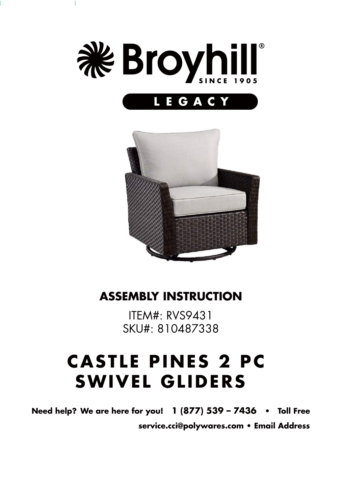

T



#### **ASSEMBLY INSTRUCTION**

ITEM#: RVS9431 SKU#: 810487338

# **CASTLE PINES 2 PC SWIVEL GLIDERS**

**Need help? We are here for you! 1 (877) 539 – 7436 • Toll Free service.cci@polywares.com • Email Address**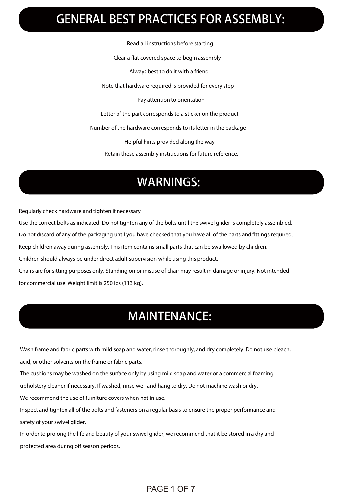## GENERAL BEST PRACTICES FOR ASSEMBLY:

Read all instructions before starting

Clear a flat covered space to begin assembly

Always best to do it with a friend

Note that hardware required is provided for every step

Pay attention to orientation

Letter of the part corresponds to a sticker on the product

Number of the hardware corresponds to its letter in the package

Helpful hints provided along the way

Retain these assembly instructions for future reference.

### WARNINGS:

Regularly check hardware and tighten if necessary

Use the correct bolts as indicated. Do not tighten any of the bolts until the swivel glider is completely assembled.

Do not discard of any of the packaging until you have checked that you have all of the parts and ttings required.

Keep children away during assembly. This item contains small parts that can be swallowed by children.

Children should always be under direct adult supervision while using this product.

Chairs are for sitting purposes only. Standing on or misuse of chair may result in damage or injury. Not intended for commercial use. Weight limit is 250 lbs (113 kg).

### MAINTENANCE:

Wash frame and fabric parts with mild soap and water, rinse thoroughly, and dry completely. Do not use bleach,

acid, or other solvents on the frame or fabric parts.

The cushions may be washed on the surface only by using mild soap and water or a commercial foaming

upholstery cleaner if necessary. If washed, rinse well and hang to dry. Do not machine wash or dry.

We recommend the use of furniture covers when not in use.

 Inspect and tighten all of the bolts and fasteners on a regular basis to ensure the proper performance and safety of your swivel glider.

 In order to prolong the life and beauty of your swivel glider, we recommend that it be stored in a dry and protected area during off season periods.

#### PAGE 1 OF 7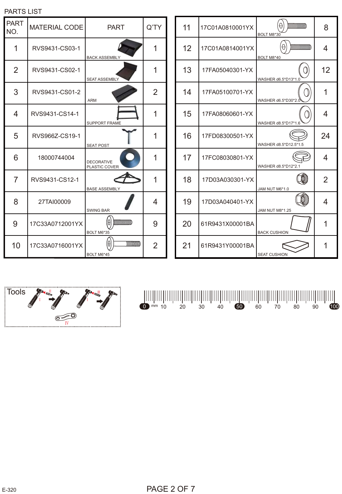| <b>PAR I</b><br>NO. | <b>MATERIAL CODE</b> | <b>PART</b>                                                                     | Q'TY |
|---------------------|----------------------|---------------------------------------------------------------------------------|------|
| 1                   | RVS9431-CS03-1       | <b>BACK ASSEMBLY</b>                                                            | 1    |
| $\overline{2}$      | RVS9431-CS02-1       | <b>SEAT ASSEMBLY</b>                                                            | 1    |
| 3                   | RVS9431-CS01-2       | <b>ARM</b>                                                                      | 2    |
| 4                   | RVS9431-CS14-1       | <b>SUPPORT FRAME</b>                                                            | 1    |
| 5                   | RVS966Z-CS19-1       | <b>SEAT POST</b>                                                                | 1    |
| 6                   | 18000744004          | <b>DECORATIVE</b><br>PLASTIC COVER                                              | 1    |
| 7                   | RVS9431-CS12-1       | <b>BASE ASSEMBLY</b>                                                            | 1    |
| 8                   | 27TAI00009           | <b>SWING BAR</b>                                                                | 4    |
| 9                   | 17C33A0712001YX      | $\begin{array}{c} \begin{array}{c} \end{array} \end{array}$<br>H)<br>BOLT M6*35 | 9    |
| 10                  | 17C33A0716001YX      | mmmm<br>BOLT M6*45                                                              | 2    |







PARTS LIST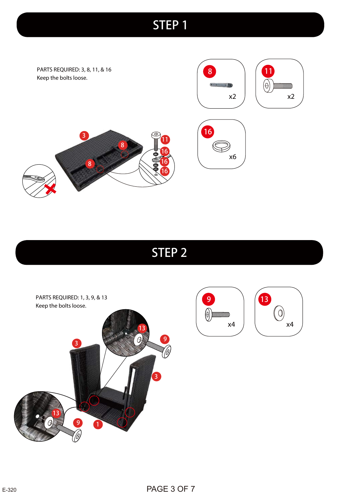PARTS REQUIRED: 3, 8, 11, & 16 Keep the bolts loose.



16

E

x6





## STEP 2

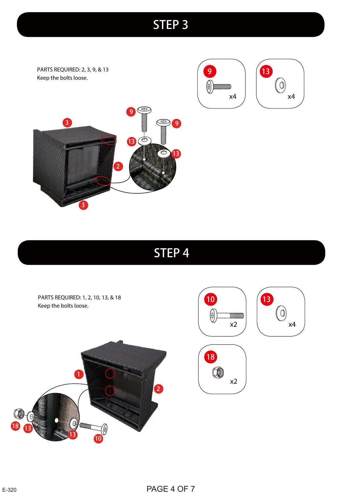PARTS REQUIRED: 2, 3, 9, & 13 Keep the bolts loose.





x4

 $\bigcirc$ 

**13** 



## STEP 4

PARTS REQUIRED: 1, 2, 10, 13, & 18 10 Keep the bolts loose.  $\bigcirc$  $\frac{1}{2}$ x2 18  $\bullet$ 1 x2 2 $\Theta$  $\frac{1}{10}$ 13 18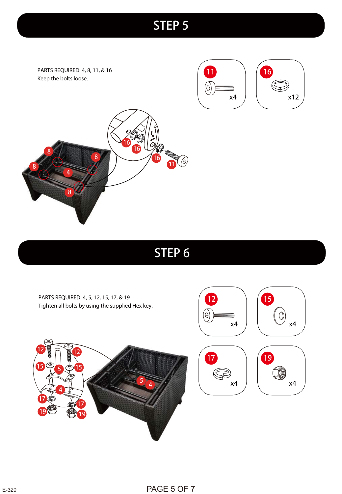PARTS REQUIRED: 4, 8, 11, & 16 Keep the bolts loose.







## STEP 6

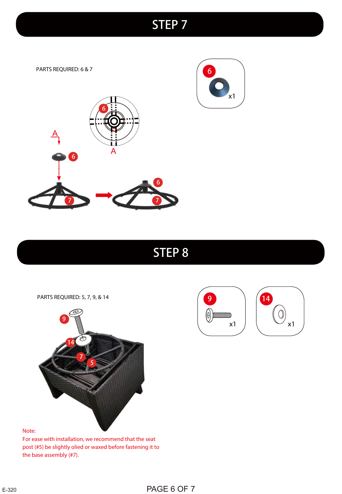PARTS REQUIRED: 6 & 7





### STEP 8

PARTS REQUIRED: 5, 7, 9, & 14





#### Note:

For ease with installation, we recommend that the seat post (#5) be slightly olied or waxed before fastening it to the base assembly (#7).